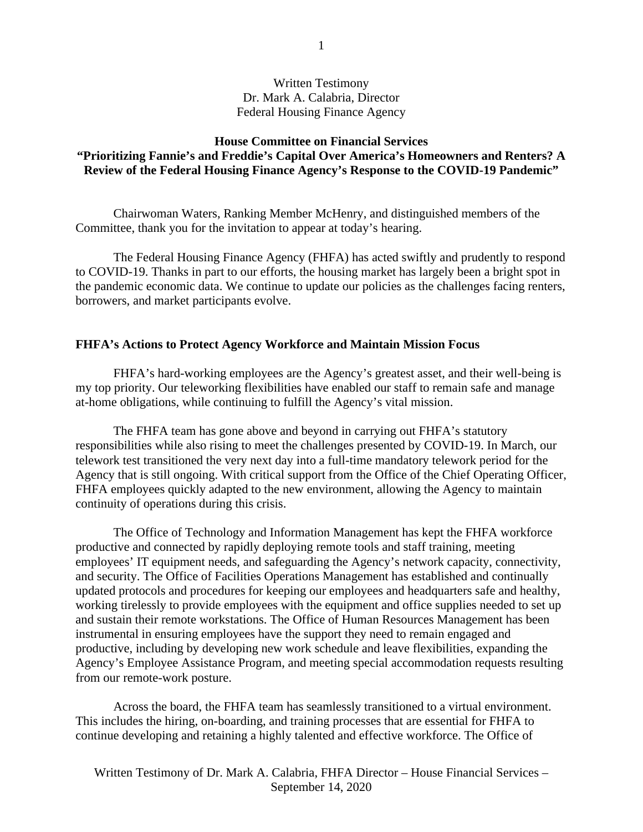# Written Testimony Dr. Mark A. Calabria, Director Federal Housing Finance Agency

## **House Committee on Financial Services "Prioritizing Fannie's and Freddie's Capital Over America's Homeowners and Renters? A Review of the Federal Housing Finance Agency's Response to the COVID-19 Pandemic"**

Chairwoman Waters, Ranking Member McHenry, and distinguished members of the Committee, thank you for the invitation to appear at today's hearing.

The Federal Housing Finance Agency (FHFA) has acted swiftly and prudently to respond to COVID-19. Thanks in part to our efforts, the housing market has largely been a bright spot in the pandemic economic data. We continue to update our policies as the challenges facing renters, borrowers, and market participants evolve.

### **FHFA's Actions to Protect Agency Workforce and Maintain Mission Focus**

FHFA's hard-working employees are the Agency's greatest asset, and their well-being is my top priority. Our teleworking flexibilities have enabled our staff to remain safe and manage at-home obligations, while continuing to fulfill the Agency's vital mission.

The FHFA team has gone above and beyond in carrying out FHFA's statutory responsibilities while also rising to meet the challenges presented by COVID-19. In March, our telework test transitioned the very next day into a full-time mandatory telework period for the Agency that is still ongoing. With critical support from the Office of the Chief Operating Officer, FHFA employees quickly adapted to the new environment, allowing the Agency to maintain continuity of operations during this crisis.

The Office of Technology and Information Management has kept the FHFA workforce productive and connected by rapidly deploying remote tools and staff training, meeting employees' IT equipment needs, and safeguarding the Agency's network capacity, connectivity, and security. The Office of Facilities Operations Management has established and continually updated protocols and procedures for keeping our employees and headquarters safe and healthy, working tirelessly to provide employees with the equipment and office supplies needed to set up and sustain their remote workstations. The Office of Human Resources Management has been instrumental in ensuring employees have the support they need to remain engaged and productive, including by developing new work schedule and leave flexibilities, expanding the Agency's Employee Assistance Program, and meeting special accommodation requests resulting from our remote-work posture.

Across the board, the FHFA team has seamlessly transitioned to a virtual environment. This includes the hiring, on-boarding, and training processes that are essential for FHFA to continue developing and retaining a highly talented and effective workforce. The Office of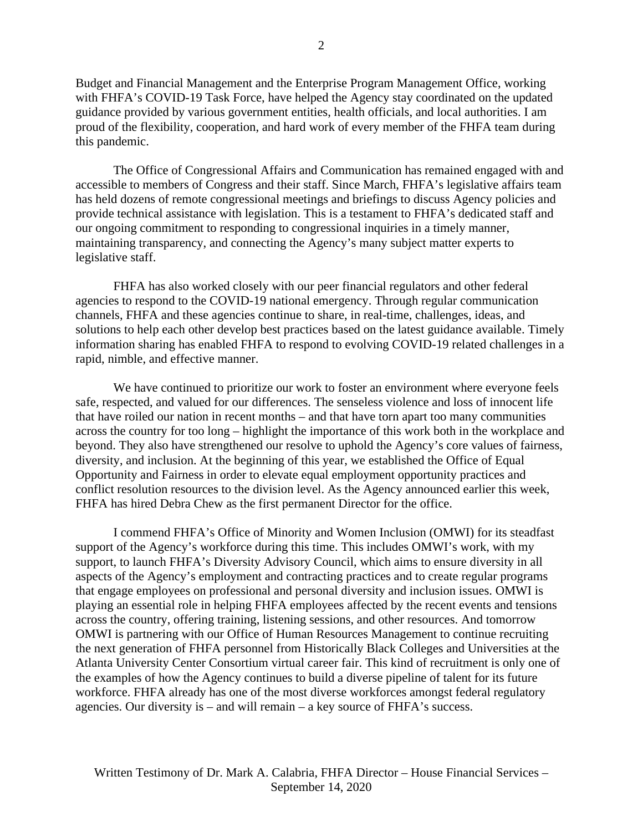2

Budget and Financial Management and the Enterprise Program Management Office, working with FHFA's COVID-19 Task Force, have helped the Agency stay coordinated on the updated guidance provided by various government entities, health officials, and local authorities. I am proud of the flexibility, cooperation, and hard work of every member of the FHFA team during this pandemic.

The Office of Congressional Affairs and Communication has remained engaged with and accessible to members of Congress and their staff. Since March, FHFA's legislative affairs team has held dozens of remote congressional meetings and briefings to discuss Agency policies and provide technical assistance with legislation. This is a testament to FHFA's dedicated staff and our ongoing commitment to responding to congressional inquiries in a timely manner, maintaining transparency, and connecting the Agency's many subject matter experts to legislative staff.

FHFA has also worked closely with our peer financial regulators and other federal agencies to respond to the COVID-19 national emergency. Through regular communication channels, FHFA and these agencies continue to share, in real-time, challenges, ideas, and solutions to help each other develop best practices based on the latest guidance available. Timely information sharing has enabled FHFA to respond to evolving COVID-19 related challenges in a rapid, nimble, and effective manner.

We have continued to prioritize our work to foster an environment where everyone feels safe, respected, and valued for our differences. The senseless violence and loss of innocent life that have roiled our nation in recent months – and that have torn apart too many communities across the country for too long – highlight the importance of this work both in the workplace and beyond. They also have strengthened our resolve to uphold the Agency's core values of fairness, diversity, and inclusion. At the beginning of this year, we established the Office of Equal Opportunity and Fairness in order to elevate equal employment opportunity practices and conflict resolution resources to the division level. As the Agency announced earlier this week, FHFA has hired Debra Chew as the first permanent Director for the office.

I commend FHFA's Office of Minority and Women Inclusion (OMWI) for its steadfast support of the Agency's workforce during this time. This includes OMWI's work, with my support, to launch FHFA's Diversity Advisory Council, which aims to ensure diversity in all aspects of the Agency's employment and contracting practices and to create regular programs that engage employees on professional and personal diversity and inclusion issues. OMWI is playing an essential role in helping FHFA employees affected by the recent events and tensions across the country, offering training, listening sessions, and other resources. And tomorrow OMWI is partnering with our Office of Human Resources Management to continue recruiting the next generation of FHFA personnel from Historically Black Colleges and Universities at the Atlanta University Center Consortium virtual career fair. This kind of recruitment is only one of the examples of how the Agency continues to build a diverse pipeline of talent for its future workforce. FHFA already has one of the most diverse workforces amongst federal regulatory agencies. Our diversity is – and will remain – a key source of FHFA's success.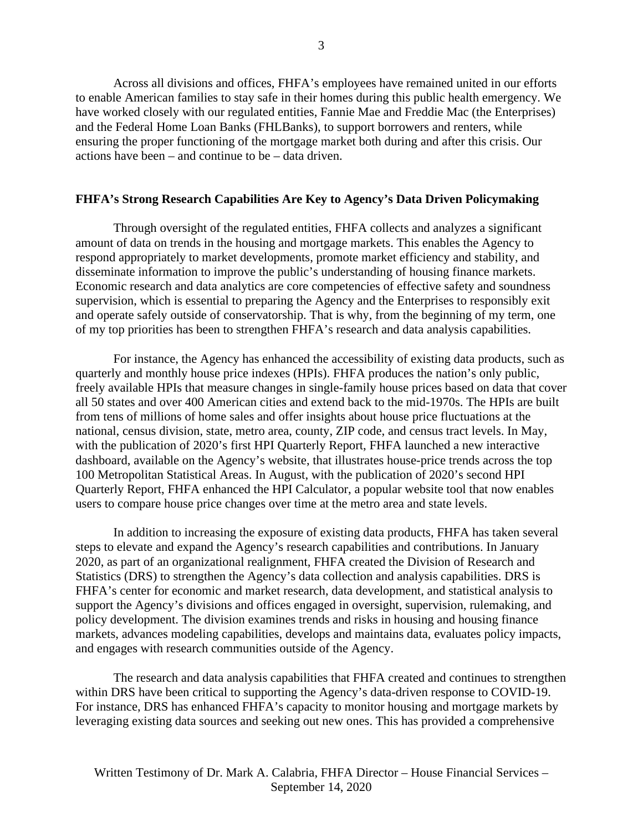Across all divisions and offices, FHFA's employees have remained united in our efforts to enable American families to stay safe in their homes during this public health emergency. We have worked closely with our regulated entities, Fannie Mae and Freddie Mac (the Enterprises) and the Federal Home Loan Banks (FHLBanks), to support borrowers and renters, while ensuring the proper functioning of the mortgage market both during and after this crisis. Our actions have been – and continue to be – data driven.

# **FHFA's Strong Research Capabilities Are Key to Agency's Data Driven Policymaking**

Through oversight of the regulated entities, FHFA collects and analyzes a significant amount of data on trends in the housing and mortgage markets. This enables the Agency to respond appropriately to market developments, promote market efficiency and stability, and disseminate information to improve the public's understanding of housing finance markets. Economic research and data analytics are core competencies of effective safety and soundness supervision, which is essential to preparing the Agency and the Enterprises to responsibly exit and operate safely outside of conservatorship. That is why, from the beginning of my term, one of my top priorities has been to strengthen FHFA's research and data analysis capabilities.

For instance, the Agency has enhanced the accessibility of existing data products, such as quarterly and monthly house price indexes (HPIs). FHFA produces the nation's only public, freely available HPIs that measure changes in single-family house prices based on data that cover all 50 states and over 400 American cities and extend back to the mid-1970s. The HPIs are built from tens of millions of home sales and offer insights about house price fluctuations at the national, census division, state, metro area, county, ZIP code, and census tract levels. In May, with the publication of 2020's first HPI Quarterly Report, FHFA launched a new interactive dashboard, available on the Agency's website, that illustrates house-price trends across the top 100 Metropolitan Statistical Areas. In August, with the publication of 2020's second HPI Quarterly Report, FHFA enhanced the HPI Calculator, a popular website tool that now enables users to compare house price changes over time at the metro area and state levels.

In addition to increasing the exposure of existing data products, FHFA has taken several steps to elevate and expand the Agency's research capabilities and contributions. In January 2020, as part of an organizational realignment, FHFA created the Division of Research and Statistics (DRS) to strengthen the Agency's data collection and analysis capabilities. DRS is FHFA's center for economic and market research, data development, and statistical analysis to support the Agency's divisions and offices engaged in oversight, supervision, rulemaking, and policy development. The division examines trends and risks in housing and housing finance markets, advances modeling capabilities, develops and maintains data, evaluates policy impacts, and engages with research communities outside of the Agency.

The research and data analysis capabilities that FHFA created and continues to strengthen within DRS have been critical to supporting the Agency's data-driven response to COVID-19. For instance, DRS has enhanced FHFA's capacity to monitor housing and mortgage markets by leveraging existing data sources and seeking out new ones. This has provided a comprehensive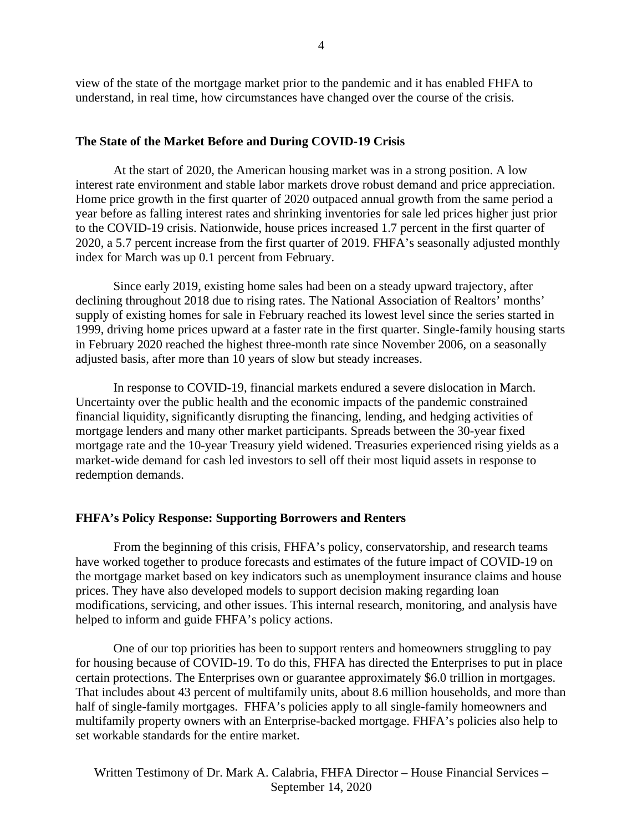view of the state of the mortgage market prior to the pandemic and it has enabled FHFA to understand, in real time, how circumstances have changed over the course of the crisis.

#### **The State of the Market Before and During COVID-19 Crisis**

At the start of 2020, the American housing market was in a strong position. A low interest rate environment and stable labor markets drove robust demand and price appreciation. Home price growth in the first quarter of 2020 outpaced annual growth from the same period a year before as falling interest rates and shrinking inventories for sale led prices higher just prior to the COVID-19 crisis. Nationwide, house prices increased 1.7 percent in the first quarter of 2020, a 5.7 percent increase from the first quarter of 2019. FHFA's seasonally adjusted monthly index for March was up 0.1 percent from February.

Since early 2019, existing home sales had been on a steady upward trajectory, after declining throughout 2018 due to rising rates. The National Association of Realtors' months' supply of existing homes for sale in February reached its lowest level since the series started in 1999, driving home prices upward at a faster rate in the first quarter. Single-family housing starts in February 2020 reached the highest three-month rate since November 2006, on a seasonally adjusted basis, after more than 10 years of slow but steady increases.

In response to COVID-19, financial markets endured a severe dislocation in March. Uncertainty over the public health and the economic impacts of the pandemic constrained financial liquidity, significantly disrupting the financing, lending, and hedging activities of mortgage lenders and many other market participants. Spreads between the 30-year fixed mortgage rate and the 10-year Treasury yield widened. Treasuries experienced rising yields as a market-wide demand for cash led investors to sell off their most liquid assets in response to redemption demands.

#### **FHFA's Policy Response: Supporting Borrowers and Renters**

From the beginning of this crisis, FHFA's policy, conservatorship, and research teams have worked together to produce forecasts and estimates of the future impact of COVID-19 on the mortgage market based on key indicators such as unemployment insurance claims and house prices. They have also developed models to support decision making regarding loan modifications, servicing, and other issues. This internal research, monitoring, and analysis have helped to inform and guide FHFA's policy actions.

One of our top priorities has been to support renters and homeowners struggling to pay for housing because of COVID-19. To do this, FHFA has directed the Enterprises to put in place certain protections. The Enterprises own or guarantee approximately \$6.0 trillion in mortgages. That includes about 43 percent of multifamily units, about 8.6 million households, and more than half of single-family mortgages. FHFA's policies apply to all single-family homeowners and multifamily property owners with an Enterprise-backed mortgage. FHFA's policies also help to set workable standards for the entire market.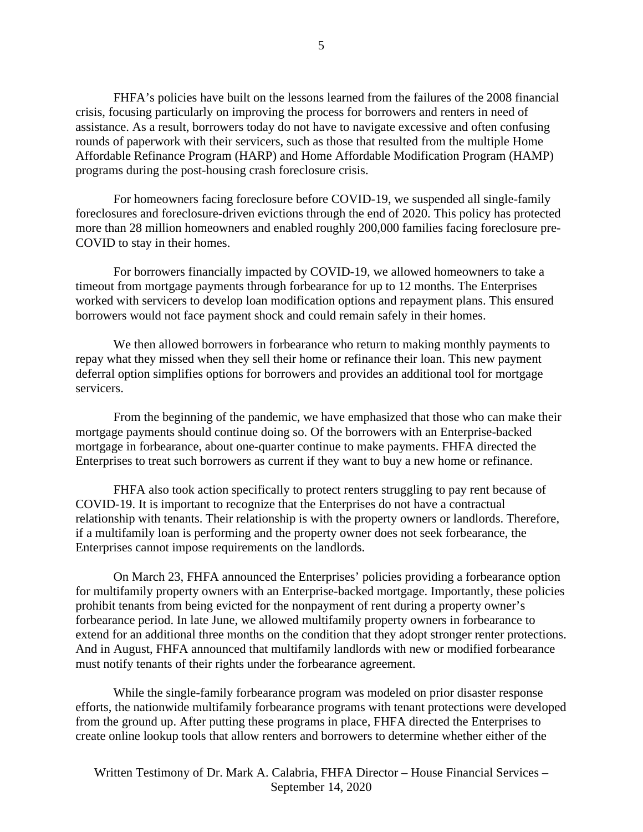FHFA's policies have built on the lessons learned from the failures of the 2008 financial crisis, focusing particularly on improving the process for borrowers and renters in need of assistance. As a result, borrowers today do not have to navigate excessive and often confusing rounds of paperwork with their servicers, such as those that resulted from the multiple Home Affordable Refinance Program (HARP) and Home Affordable Modification Program (HAMP) programs during the post-housing crash foreclosure crisis.

For homeowners facing foreclosure before COVID-19, we suspended all single-family foreclosures and foreclosure-driven evictions through the end of 2020. This policy has protected more than 28 million homeowners and enabled roughly 200,000 families facing foreclosure pre-COVID to stay in their homes.

For borrowers financially impacted by COVID-19, we allowed homeowners to take a timeout from mortgage payments through forbearance for up to 12 months. The Enterprises worked with servicers to develop loan modification options and repayment plans. This ensured borrowers would not face payment shock and could remain safely in their homes.

We then allowed borrowers in forbearance who return to making monthly payments to repay what they missed when they sell their home or refinance their loan. This new payment deferral option simplifies options for borrowers and provides an additional tool for mortgage servicers.

From the beginning of the pandemic, we have emphasized that those who can make their mortgage payments should continue doing so. Of the borrowers with an Enterprise-backed mortgage in forbearance, about one-quarter continue to make payments. FHFA directed the Enterprises to treat such borrowers as current if they want to buy a new home or refinance.

FHFA also took action specifically to protect renters struggling to pay rent because of COVID-19. It is important to recognize that the Enterprises do not have a contractual relationship with tenants. Their relationship is with the property owners or landlords. Therefore, if a multifamily loan is performing and the property owner does not seek forbearance, the Enterprises cannot impose requirements on the landlords.

On March 23, FHFA announced the Enterprises' policies providing a forbearance option for multifamily property owners with an Enterprise-backed mortgage. Importantly, these policies prohibit tenants from being evicted for the nonpayment of rent during a property owner's forbearance period. In late June, we allowed multifamily property owners in forbearance to extend for an additional three months on the condition that they adopt stronger renter protections. And in August, FHFA announced that multifamily landlords with new or modified forbearance must notify tenants of their rights under the forbearance agreement.

While the single-family forbearance program was modeled on prior disaster response efforts, the nationwide multifamily forbearance programs with tenant protections were developed from the ground up. After putting these programs in place, FHFA directed the Enterprises to create online lookup tools that allow renters and borrowers to determine whether either of the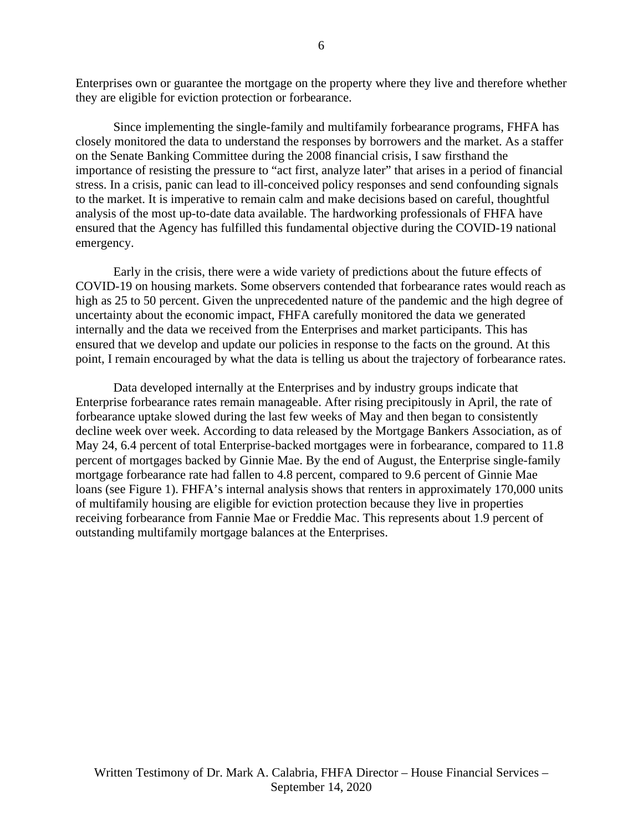Enterprises own or guarantee the mortgage on the property where they live and therefore whether they are eligible for eviction protection or forbearance.

Since implementing the single-family and multifamily forbearance programs, FHFA has closely monitored the data to understand the responses by borrowers and the market. As a staffer on the Senate Banking Committee during the 2008 financial crisis, I saw firsthand the importance of resisting the pressure to "act first, analyze later" that arises in a period of financial stress. In a crisis, panic can lead to ill-conceived policy responses and send confounding signals to the market. It is imperative to remain calm and make decisions based on careful, thoughtful analysis of the most up-to-date data available. The hardworking professionals of FHFA have ensured that the Agency has fulfilled this fundamental objective during the COVID-19 national emergency.

Early in the crisis, there were a wide variety of predictions about the future effects of COVID-19 on housing markets. Some observers contended that forbearance rates would reach as high as 25 to 50 percent. Given the unprecedented nature of the pandemic and the high degree of uncertainty about the economic impact, FHFA carefully monitored the data we generated internally and the data we received from the Enterprises and market participants. This has ensured that we develop and update our policies in response to the facts on the ground. At this point, I remain encouraged by what the data is telling us about the trajectory of forbearance rates.

Data developed internally at the Enterprises and by industry groups indicate that Enterprise forbearance rates remain manageable. After rising precipitously in April, the rate of forbearance uptake slowed during the last few weeks of May and then began to consistently decline week over week. According to data released by the Mortgage Bankers Association, as of May 24, 6.4 percent of total Enterprise-backed mortgages were in forbearance, compared to 11.8 percent of mortgages backed by Ginnie Mae. By the end of August, the Enterprise single-family mortgage forbearance rate had fallen to 4.8 percent, compared to 9.6 percent of Ginnie Mae loans (see Figure 1). FHFA's internal analysis shows that renters in approximately 170,000 units of multifamily housing are eligible for eviction protection because they live in properties receiving forbearance from Fannie Mae or Freddie Mac. This represents about 1.9 percent of outstanding multifamily mortgage balances at the Enterprises.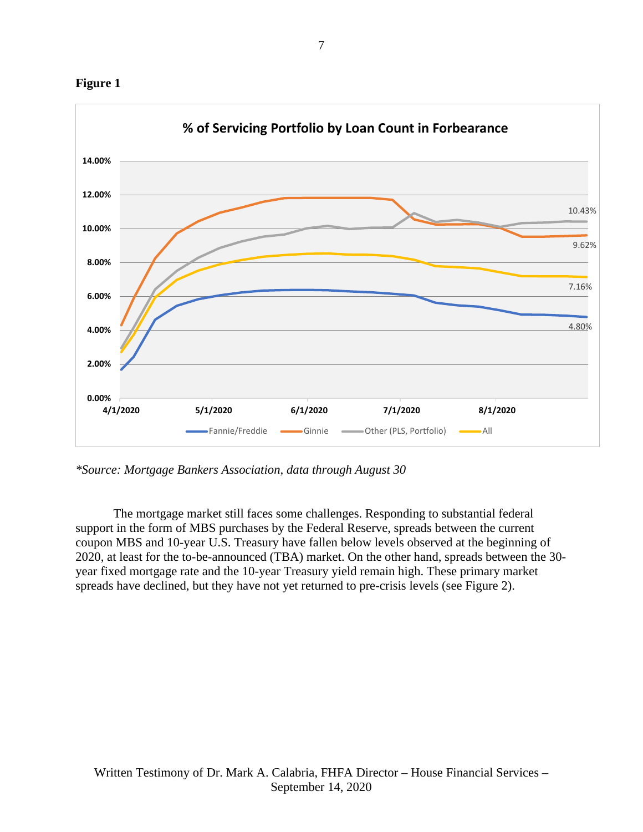



*\*Source: Mortgage Bankers Association, data through August 30*

The mortgage market still faces some challenges. Responding to substantial federal support in the form of MBS purchases by the Federal Reserve, spreads between the current coupon MBS and 10-year U.S. Treasury have fallen below levels observed at the beginning of 2020, at least for the to-be-announced (TBA) market. On the other hand, spreads between the 30 year fixed mortgage rate and the 10-year Treasury yield remain high. These primary market spreads have declined, but they have not yet returned to pre-crisis levels (see Figure 2).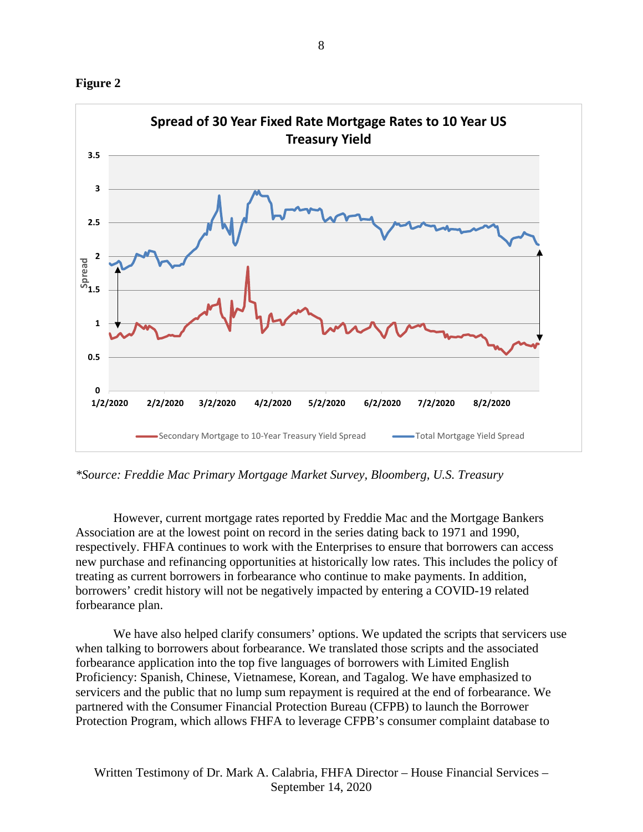



*\*Source: Freddie Mac Primary Mortgage Market Survey, Bloomberg, U.S. Treasury*

However, current mortgage rates reported by Freddie Mac and the Mortgage Bankers Association are at the lowest point on record in the series dating back to 1971 and 1990, respectively. FHFA continues to work with the Enterprises to ensure that borrowers can access new purchase and refinancing opportunities at historically low rates. This includes the policy of treating as current borrowers in forbearance who continue to make payments. In addition, borrowers' credit history will not be negatively impacted by entering a COVID-19 related forbearance plan.

We have also helped clarify consumers' options. We updated the scripts that servicers use when talking to borrowers about forbearance. We translated those scripts and the associated forbearance application into the top five languages of borrowers with Limited English Proficiency: Spanish, Chinese, Vietnamese, Korean, and Tagalog. We have emphasized to servicers and the public that no lump sum repayment is required at the end of forbearance. We partnered with the Consumer Financial Protection Bureau (CFPB) to launch the Borrower Protection Program, which allows FHFA to leverage CFPB's consumer complaint database to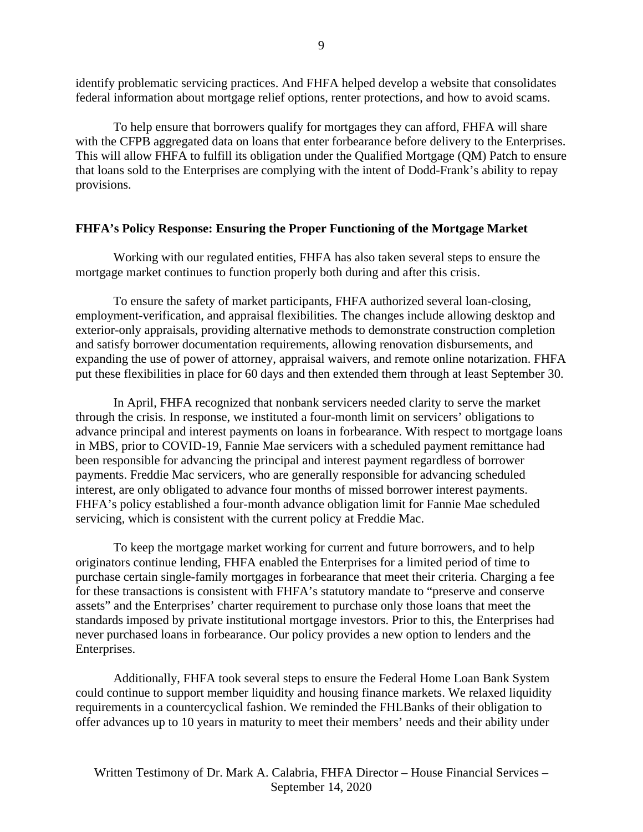identify problematic servicing practices. And FHFA helped develop a website that consolidates federal information about mortgage relief options, renter protections, and how to avoid scams.

To help ensure that borrowers qualify for mortgages they can afford, FHFA will share with the CFPB aggregated data on loans that enter forbearance before delivery to the Enterprises. This will allow FHFA to fulfill its obligation under the Qualified Mortgage (QM) Patch to ensure that loans sold to the Enterprises are complying with the intent of Dodd-Frank's ability to repay provisions.

# **FHFA's Policy Response: Ensuring the Proper Functioning of the Mortgage Market**

Working with our regulated entities, FHFA has also taken several steps to ensure the mortgage market continues to function properly both during and after this crisis.

To ensure the safety of market participants, FHFA authorized several loan-closing, employment-verification, and appraisal flexibilities. The changes include allowing desktop and exterior-only appraisals, providing alternative methods to demonstrate construction completion and satisfy borrower documentation requirements, allowing renovation disbursements, and expanding the use of power of attorney, appraisal waivers, and remote online notarization. FHFA put these flexibilities in place for 60 days and then extended them through at least September 30.

In April, FHFA recognized that nonbank servicers needed clarity to serve the market through the crisis. In response, we instituted a four-month limit on servicers' obligations to advance principal and interest payments on loans in forbearance. With respect to mortgage loans in MBS, prior to COVID-19, Fannie Mae servicers with a scheduled payment remittance had been responsible for advancing the principal and interest payment regardless of borrower payments. Freddie Mac servicers, who are generally responsible for advancing scheduled interest, are only obligated to advance four months of missed borrower interest payments. FHFA's policy established a four-month advance obligation limit for Fannie Mae scheduled servicing, which is consistent with the current policy at Freddie Mac.

To keep the mortgage market working for current and future borrowers, and to help originators continue lending, FHFA enabled the Enterprises for a limited period of time to purchase certain single-family mortgages in forbearance that meet their criteria. Charging a fee for these transactions is consistent with FHFA's statutory mandate to "preserve and conserve assets" and the Enterprises' charter requirement to purchase only those loans that meet the standards imposed by private institutional mortgage investors. Prior to this, the Enterprises had never purchased loans in forbearance. Our policy provides a new option to lenders and the Enterprises.

Additionally, FHFA took several steps to ensure the Federal Home Loan Bank System could continue to support member liquidity and housing finance markets. We relaxed liquidity requirements in a countercyclical fashion. We reminded the FHLBanks of their obligation to offer advances up to 10 years in maturity to meet their members' needs and their ability under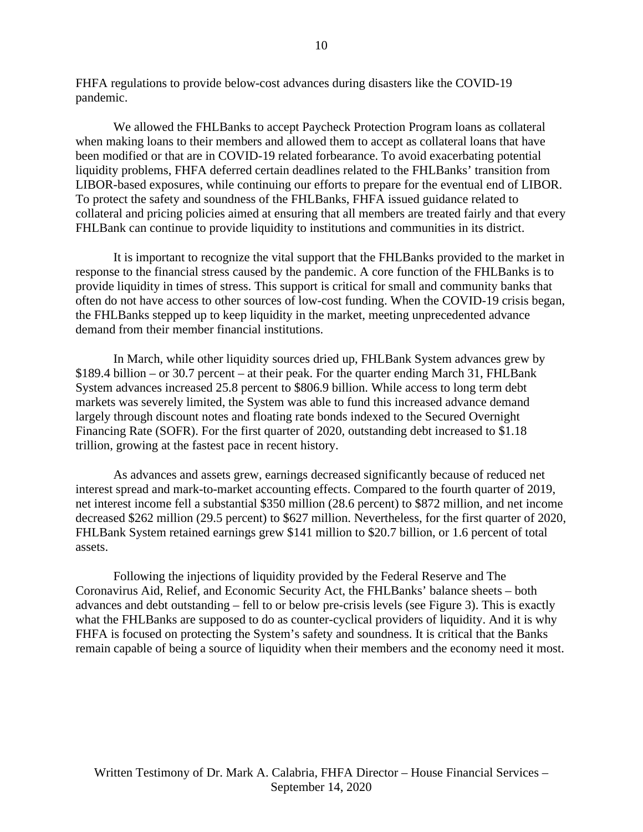FHFA regulations to provide below-cost advances during disasters like the COVID-19 pandemic.

We allowed the FHLBanks to accept Paycheck Protection Program loans as collateral when making loans to their members and allowed them to accept as collateral loans that have been modified or that are in COVID-19 related forbearance. To avoid exacerbating potential liquidity problems, FHFA deferred certain deadlines related to the FHLBanks' transition from LIBOR-based exposures, while continuing our efforts to prepare for the eventual end of LIBOR. To protect the safety and soundness of the FHLBanks, FHFA issued guidance related to collateral and pricing policies aimed at ensuring that all members are treated fairly and that every FHLBank can continue to provide liquidity to institutions and communities in its district.

It is important to recognize the vital support that the FHLBanks provided to the market in response to the financial stress caused by the pandemic. A core function of the FHLBanks is to provide liquidity in times of stress. This support is critical for small and community banks that often do not have access to other sources of low-cost funding. When the COVID-19 crisis began, the FHLBanks stepped up to keep liquidity in the market, meeting unprecedented advance demand from their member financial institutions.

In March, while other liquidity sources dried up, FHLBank System advances grew by \$189.4 billion – or 30.7 percent – at their peak. For the quarter ending March 31, FHLBank System advances increased 25.8 percent to \$806.9 billion. While access to long term debt markets was severely limited, the System was able to fund this increased advance demand largely through discount notes and floating rate bonds indexed to the Secured Overnight Financing Rate (SOFR). For the first quarter of 2020, outstanding debt increased to \$1.18 trillion, growing at the fastest pace in recent history.

As advances and assets grew, earnings decreased significantly because of reduced net interest spread and mark-to-market accounting effects. Compared to the fourth quarter of 2019, net interest income fell a substantial \$350 million (28.6 percent) to \$872 million, and net income decreased \$262 million (29.5 percent) to \$627 million. Nevertheless, for the first quarter of 2020, FHLBank System retained earnings grew \$141 million to \$20.7 billion, or 1.6 percent of total assets.

Following the injections of liquidity provided by the Federal Reserve and The Coronavirus Aid, Relief, and Economic Security Act, the FHLBanks' balance sheets – both advances and debt outstanding – fell to or below pre-crisis levels (see Figure 3). This is exactly what the FHLBanks are supposed to do as counter-cyclical providers of liquidity. And it is why FHFA is focused on protecting the System's safety and soundness. It is critical that the Banks remain capable of being a source of liquidity when their members and the economy need it most.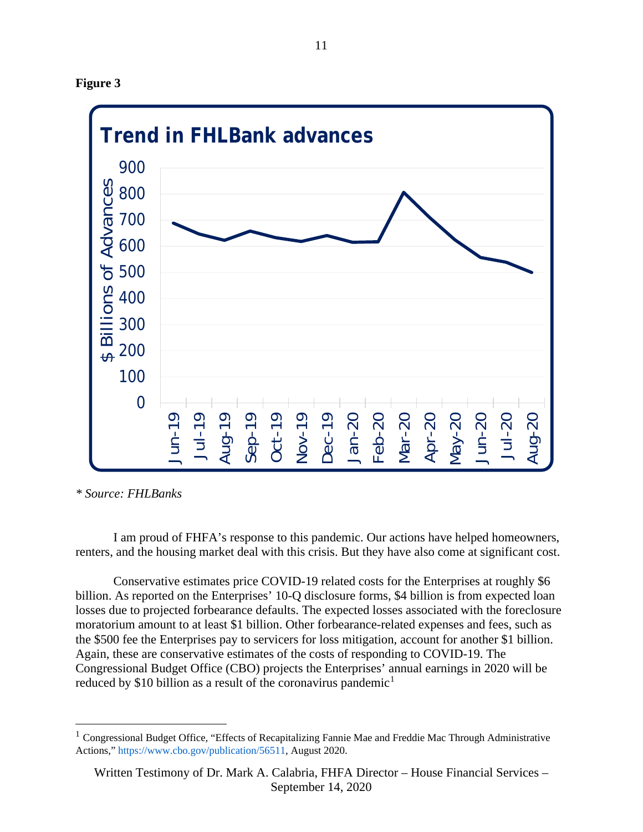



*\* Source: FHLBanks*

I am proud of FHFA's response to this pandemic. Our actions have helped homeowners, renters, and the housing market deal with this crisis. But they have also come at significant cost.

Conservative estimates price COVID-19 related costs for the Enterprises at roughly \$6 billion. As reported on the Enterprises' 10-Q disclosure forms, \$4 billion is from expected loan losses due to projected forbearance defaults. The expected losses associated with the foreclosure moratorium amount to at least \$1 billion. Other forbearance-related expenses and fees, such as the \$500 fee the Enterprises pay to servicers for loss mitigation, account for another \$1 billion. Again, these are conservative estimates of the costs of responding to COVID-19. The Congressional Budget Office (CBO) projects the Enterprises' annual earnings in 2020 will be reduced by \$[1](#page-10-0)0 billion as a result of the coronavirus pandemic<sup>1</sup>

<span id="page-10-0"></span><sup>1</sup> Congressional Budget Office*,* "Effects of Recapitalizing Fannie Mae and Freddie Mac Through Administrative Actions," https://www.cbo.gov/publication/56511, August 2020.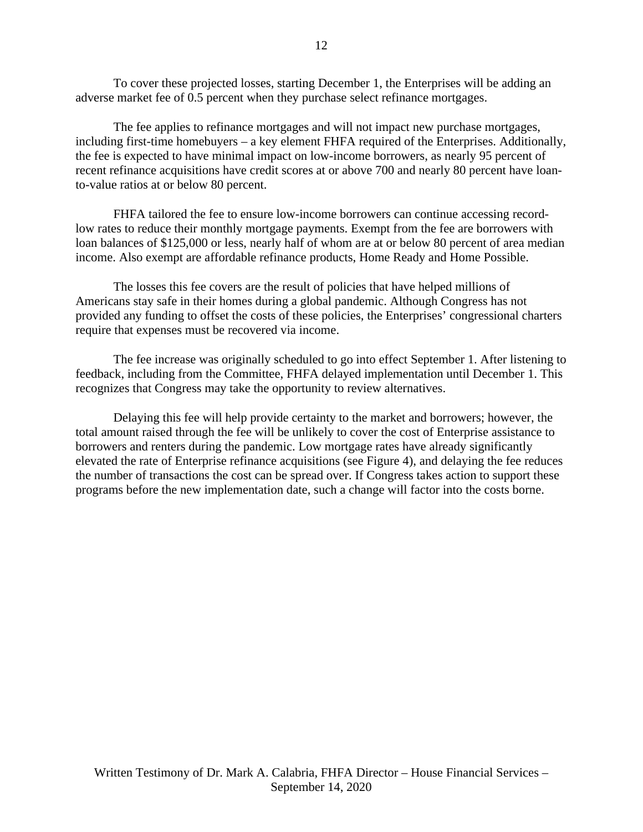To cover these projected losses, starting December 1, the Enterprises will be adding an adverse market fee of 0.5 percent when they purchase select refinance mortgages.

The fee applies to refinance mortgages and will not impact new purchase mortgages, including first-time homebuyers – a key element FHFA required of the Enterprises. Additionally, the fee is expected to have minimal impact on low-income borrowers, as nearly 95 percent of recent refinance acquisitions have credit scores at or above 700 and nearly 80 percent have loanto-value ratios at or below 80 percent.

FHFA tailored the fee to ensure low-income borrowers can continue accessing recordlow rates to reduce their monthly mortgage payments. Exempt from the fee are borrowers with loan balances of \$125,000 or less, nearly half of whom are at or below 80 percent of area median income. Also exempt are affordable refinance products, Home Ready and Home Possible.

The losses this fee covers are the result of policies that have helped millions of Americans stay safe in their homes during a global pandemic. Although Congress has not provided any funding to offset the costs of these policies, the Enterprises' congressional charters require that expenses must be recovered via income.

The fee increase was originally scheduled to go into effect September 1. After listening to feedback, including from the Committee, FHFA delayed implementation until December 1. This recognizes that Congress may take the opportunity to review alternatives.

Delaying this fee will help provide certainty to the market and borrowers; however, the total amount raised through the fee will be unlikely to cover the cost of Enterprise assistance to borrowers and renters during the pandemic. Low mortgage rates have already significantly elevated the rate of Enterprise refinance acquisitions (see Figure 4), and delaying the fee reduces the number of transactions the cost can be spread over. If Congress takes action to support these programs before the new implementation date, such a change will factor into the costs borne.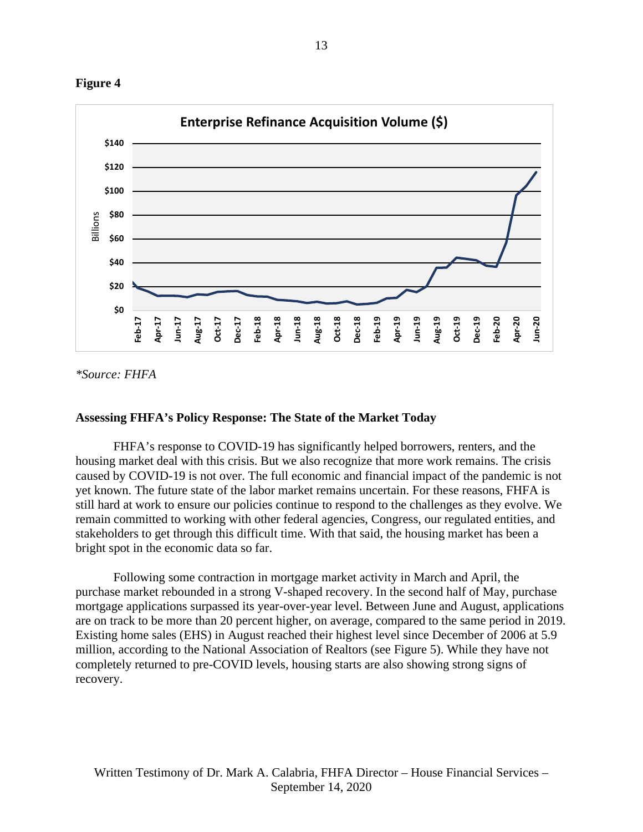



*\*Source: FHFA*

### **Assessing FHFA's Policy Response: The State of the Market Today**

FHFA's response to COVID-19 has significantly helped borrowers, renters, and the housing market deal with this crisis. But we also recognize that more work remains. The crisis caused by COVID-19 is not over. The full economic and financial impact of the pandemic is not yet known. The future state of the labor market remains uncertain. For these reasons, FHFA is still hard at work to ensure our policies continue to respond to the challenges as they evolve. We remain committed to working with other federal agencies, Congress, our regulated entities, and stakeholders to get through this difficult time. With that said, the housing market has been a bright spot in the economic data so far.

Following some contraction in mortgage market activity in March and April, the purchase market rebounded in a strong V-shaped recovery. In the second half of May, purchase mortgage applications surpassed its year-over-year level. Between June and August, applications are on track to be more than 20 percent higher, on average, compared to the same period in 2019. Existing home sales (EHS) in August reached their highest level since December of 2006 at 5.9 million, according to the National Association of Realtors (see Figure 5). While they have not completely returned to pre-COVID levels, housing starts are also showing strong signs of recovery.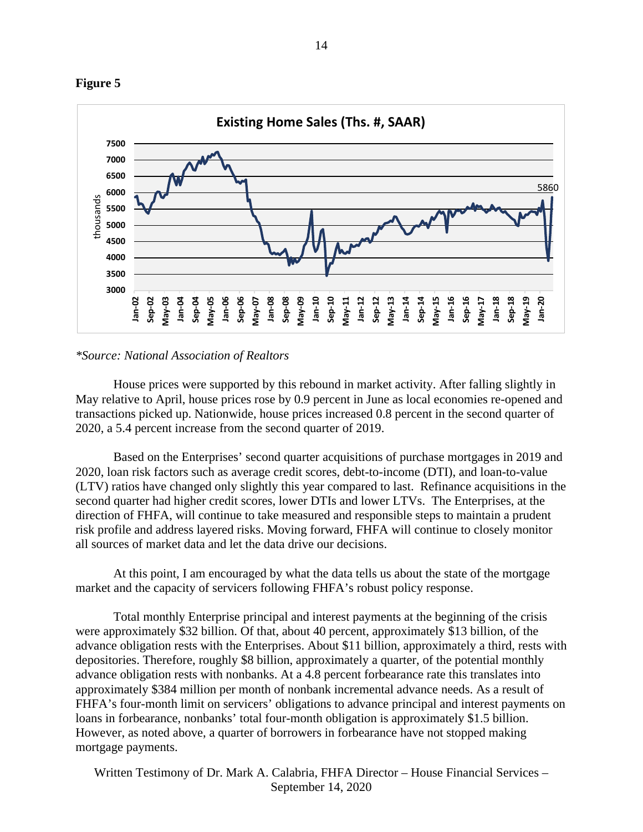



#### *\*Source: National Association of Realtors*

House prices were supported by this rebound in market activity. After falling slightly in May relative to April, house prices rose by 0.9 percent in June as local economies re-opened and transactions picked up. Nationwide, house prices increased 0.8 percent in the second quarter of 2020, a 5.4 percent increase from the second quarter of 2019.

Based on the Enterprises' second quarter acquisitions of purchase mortgages in 2019 and 2020, loan risk factors such as average credit scores, debt-to-income (DTI), and loan-to-value (LTV) ratios have changed only slightly this year compared to last. Refinance acquisitions in the second quarter had higher credit scores, lower DTIs and lower LTVs. The Enterprises, at the direction of FHFA, will continue to take measured and responsible steps to maintain a prudent risk profile and address layered risks. Moving forward, FHFA will continue to closely monitor all sources of market data and let the data drive our decisions.

At this point, I am encouraged by what the data tells us about the state of the mortgage market and the capacity of servicers following FHFA's robust policy response.

Total monthly Enterprise principal and interest payments at the beginning of the crisis were approximately \$32 billion. Of that, about 40 percent, approximately \$13 billion, of the advance obligation rests with the Enterprises. About \$11 billion, approximately a third, rests with depositories. Therefore, roughly \$8 billion, approximately a quarter, of the potential monthly advance obligation rests with nonbanks. At a 4.8 percent forbearance rate this translates into approximately \$384 million per month of nonbank incremental advance needs. As a result of FHFA's four-month limit on servicers' obligations to advance principal and interest payments on loans in forbearance, nonbanks' total four-month obligation is approximately \$1.5 billion. However, as noted above, a quarter of borrowers in forbearance have not stopped making mortgage payments.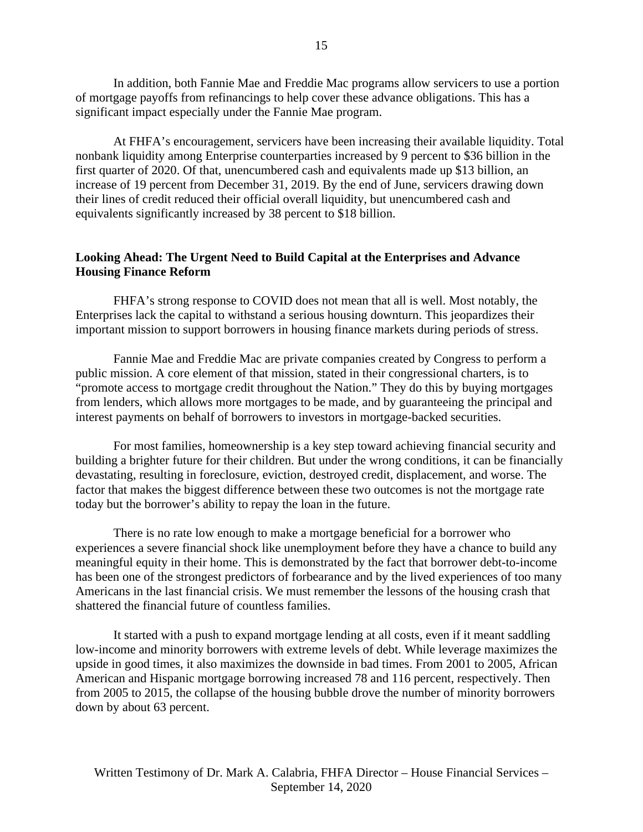In addition, both Fannie Mae and Freddie Mac programs allow servicers to use a portion of mortgage payoffs from refinancings to help cover these advance obligations. This has a significant impact especially under the Fannie Mae program.

At FHFA's encouragement, servicers have been increasing their available liquidity. Total nonbank liquidity among Enterprise counterparties increased by 9 percent to \$36 billion in the first quarter of 2020. Of that, unencumbered cash and equivalents made up \$13 billion, an increase of 19 percent from December 31, 2019. By the end of June, servicers drawing down their lines of credit reduced their official overall liquidity, but unencumbered cash and equivalents significantly increased by 38 percent to \$18 billion.

## **Looking Ahead: The Urgent Need to Build Capital at the Enterprises and Advance Housing Finance Reform**

FHFA's strong response to COVID does not mean that all is well. Most notably, the Enterprises lack the capital to withstand a serious housing downturn. This jeopardizes their important mission to support borrowers in housing finance markets during periods of stress.

Fannie Mae and Freddie Mac are private companies created by Congress to perform a public mission. A core element of that mission, stated in their congressional charters, is to "promote access to mortgage credit throughout the Nation." They do this by buying mortgages from lenders, which allows more mortgages to be made, and by guaranteeing the principal and interest payments on behalf of borrowers to investors in mortgage-backed securities.

For most families, homeownership is a key step toward achieving financial security and building a brighter future for their children. But under the wrong conditions, it can be financially devastating, resulting in foreclosure, eviction, destroyed credit, displacement, and worse. The factor that makes the biggest difference between these two outcomes is not the mortgage rate today but the borrower's ability to repay the loan in the future.

There is no rate low enough to make a mortgage beneficial for a borrower who experiences a severe financial shock like unemployment before they have a chance to build any meaningful equity in their home. This is demonstrated by the fact that borrower debt-to-income has been one of the strongest predictors of forbearance and by the lived experiences of too many Americans in the last financial crisis. We must remember the lessons of the housing crash that shattered the financial future of countless families.

It started with a push to expand mortgage lending at all costs, even if it meant saddling low-income and minority borrowers with extreme levels of debt. While leverage maximizes the upside in good times, it also maximizes the downside in bad times. From 2001 to 2005, African American and Hispanic mortgage borrowing increased 78 and 116 percent, respectively. Then from 2005 to 2015, the collapse of the housing bubble drove the number of minority borrowers down by about 63 percent.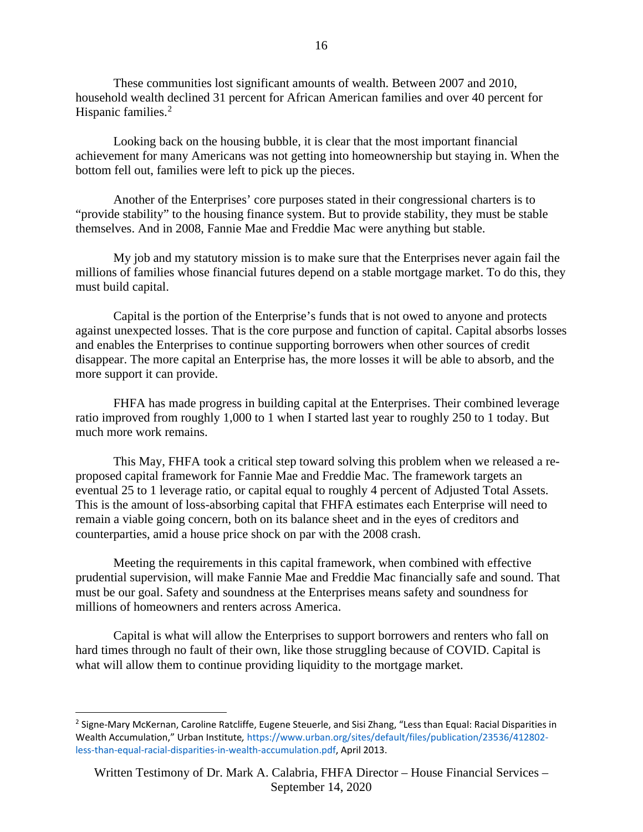These communities lost significant amounts of wealth. Between 2007 and 2010, household wealth declined 31 percent for African American families and over 40 percent for Hispanic families.<sup>[2](#page-15-0)</sup>

Looking back on the housing bubble, it is clear that the most important financial achievement for many Americans was not getting into homeownership but staying in. When the bottom fell out, families were left to pick up the pieces.

Another of the Enterprises' core purposes stated in their congressional charters is to "provide stability" to the housing finance system. But to provide stability, they must be stable themselves. And in 2008, Fannie Mae and Freddie Mac were anything but stable.

My job and my statutory mission is to make sure that the Enterprises never again fail the millions of families whose financial futures depend on a stable mortgage market. To do this, they must build capital.

Capital is the portion of the Enterprise's funds that is not owed to anyone and protects against unexpected losses. That is the core purpose and function of capital. Capital absorbs losses and enables the Enterprises to continue supporting borrowers when other sources of credit disappear. The more capital an Enterprise has, the more losses it will be able to absorb, and the more support it can provide.

FHFA has made progress in building capital at the Enterprises. Their combined leverage ratio improved from roughly 1,000 to 1 when I started last year to roughly 250 to 1 today. But much more work remains.

This May, FHFA took a critical step toward solving this problem when we released a reproposed capital framework for Fannie Mae and Freddie Mac. The framework targets an eventual 25 to 1 leverage ratio, or capital equal to roughly 4 percent of Adjusted Total Assets. This is the amount of loss-absorbing capital that FHFA estimates each Enterprise will need to remain a viable going concern, both on its balance sheet and in the eyes of creditors and counterparties, amid a house price shock on par with the 2008 crash.

Meeting the requirements in this capital framework, when combined with effective prudential supervision, will make Fannie Mae and Freddie Mac financially safe and sound. That must be our goal. Safety and soundness at the Enterprises means safety and soundness for millions of homeowners and renters across America.

Capital is what will allow the Enterprises to support borrowers and renters who fall on hard times through no fault of their own, like those struggling because of COVID. Capital is what will allow them to continue providing liquidity to the mortgage market.

<span id="page-15-0"></span><sup>&</sup>lt;sup>2</sup> Signe-Mary McKernan, Caroline Ratcliffe, Eugene Steuerle, and Sisi Zhang, "Less than Equal: Racial Disparities in Wealth Accumulation," Urban Institute*,* https://www.urban.org/sites/default/files/publication/23536/412802 less-than-equal-racial-disparities-in-wealth-accumulation.pdf, April 2013.